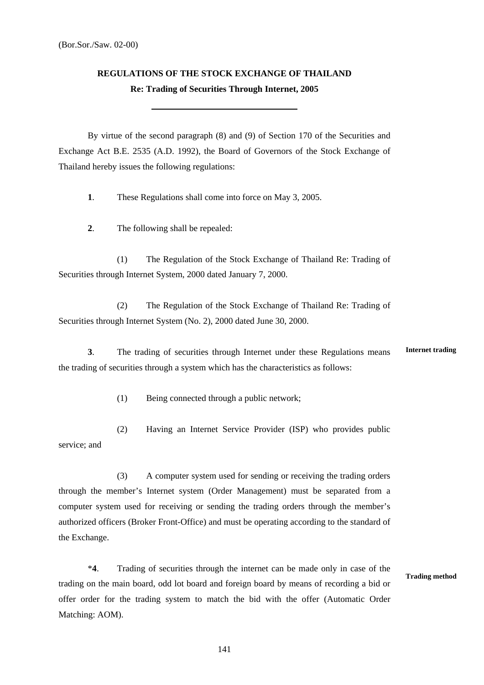## **REGULATIONS OF THE STOCK EXCHANGE OF THAILAND Re: Trading of Securities Through Internet, 2005**

By virtue of the second paragraph (8) and (9) of Section 170 of the Securities and Exchange Act B.E. 2535 (A.D. 1992), the Board of Governors of the Stock Exchange of Thailand hereby issues the following regulations:

**1**. These Regulations shall come into force on May 3, 2005.

**2**. The following shall be repealed:

(1) The Regulation of the Stock Exchange of Thailand Re: Trading of Securities through Internet System, 2000 dated January 7, 2000.

(2) The Regulation of the Stock Exchange of Thailand Re: Trading of Securities through Internet System (No. 2), 2000 dated June 30, 2000.

**3**. The trading of securities through Internet under these Regulations means the trading of securities through a system which has the characteristics as follows: **Internet trading** 

(1) Being connected through a public network;

(2) Having an Internet Service Provider (ISP) who provides public service; and

(3) A computer system used for sending or receiving the trading orders through the member's Internet system (Order Management) must be separated from a computer system used for receiving or sending the trading orders through the member's authorized officers (Broker Front-Office) and must be operating according to the standard of the Exchange.

 \***4**. Trading of securities through the internet can be made only in case of the trading on the main board, odd lot board and foreign board by means of recording a bid or offer order for the trading system to match the bid with the offer (Automatic Order Matching: AOM). **Trading method** 

141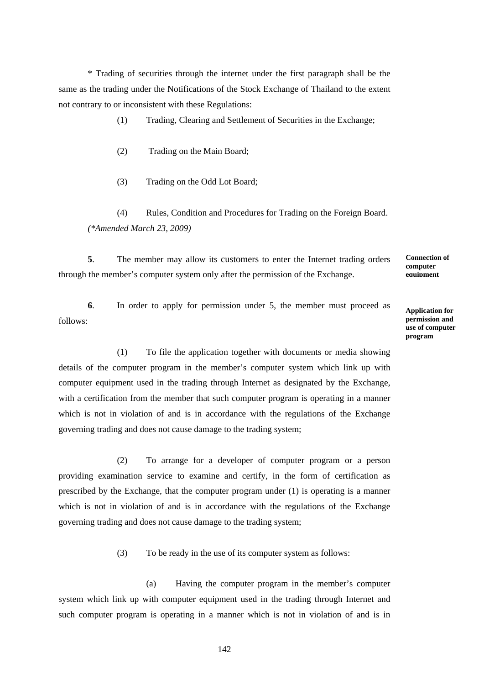\* Trading of securities through the internet under the first paragraph shall be the same as the trading under the Notifications of the Stock Exchange of Thailand to the extent not contrary to or inconsistent with these Regulations:

(1) Trading, Clearing and Settlement of Securities in the Exchange;

- (2) Trading on the Main Board;
- (3) Trading on the Odd Lot Board;

(4) Rules, Condition and Procedures for Trading on the Foreign Board.  *(\*Amended March 23, 2009)* 

**5**. The member may allow its customers to enter the Internet trading orders through the member's computer system only after the permission of the Exchange.

**6**. In order to apply for permission under 5, the member must proceed as follows:

**Application for permission and use of computer program** 

**Connection of computer equipment**

(1) To file the application together with documents or media showing details of the computer program in the member's computer system which link up with computer equipment used in the trading through Internet as designated by the Exchange, with a certification from the member that such computer program is operating in a manner which is not in violation of and is in accordance with the regulations of the Exchange governing trading and does not cause damage to the trading system;

(2) To arrange for a developer of computer program or a person providing examination service to examine and certify, in the form of certification as prescribed by the Exchange, that the computer program under (1) is operating is a manner which is not in violation of and is in accordance with the regulations of the Exchange governing trading and does not cause damage to the trading system;

(3) To be ready in the use of its computer system as follows:

 (a) Having the computer program in the member's computer system which link up with computer equipment used in the trading through Internet and such computer program is operating in a manner which is not in violation of and is in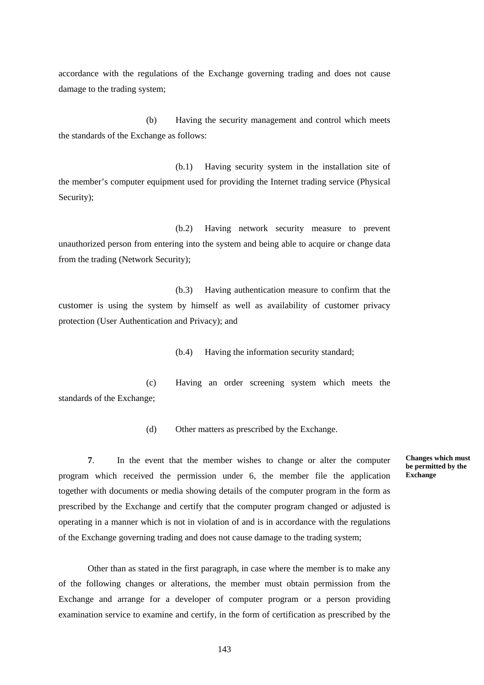accordance with the regulations of the Exchange governing trading and does not cause damage to the trading system;

(b) Having the security management and control which meets the standards of the Exchange as follows:

(b.1) Having security system in the installation site of the member's computer equipment used for providing the Internet trading service (Physical Security);

(b.2) Having network security measure to prevent unauthorized person from entering into the system and being able to acquire or change data from the trading (Network Security);

(b.3) Having authentication measure to confirm that the customer is using the system by himself as well as availability of customer privacy protection (User Authentication and Privacy); and

(b.4) Having the information security standard;

(c) Having an order screening system which meets the standards of the Exchange;

(d) Other matters as prescribed by the Exchange.

**7**. In the event that the member wishes to change or alter the computer program which received the permission under 6, the member file the application together with documents or media showing details of the computer program in the form as prescribed by the Exchange and certify that the computer program changed or adjusted is operating in a manner which is not in violation of and is in accordance with the regulations of the Exchange governing trading and does not cause damage to the trading system;

**Changes which must be permitted by the Exchange** 

Other than as stated in the first paragraph, in case where the member is to make any of the following changes or alterations, the member must obtain permission from the Exchange and arrange for a developer of computer program or a person providing examination service to examine and certify, in the form of certification as prescribed by the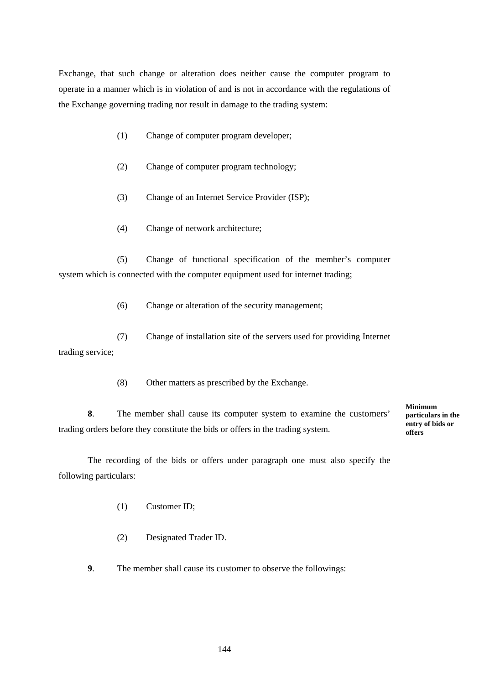Exchange, that such change or alteration does neither cause the computer program to operate in a manner which is in violation of and is not in accordance with the regulations of the Exchange governing trading nor result in damage to the trading system:

- (1) Change of computer program developer;
- (2) Change of computer program technology;
- (3) Change of an Internet Service Provider (ISP);
- (4) Change of network architecture;

(5) Change of functional specification of the member's computer system which is connected with the computer equipment used for internet trading;

(6) Change or alteration of the security management;

(7) Change of installation site of the servers used for providing Internet trading service;

(8) Other matters as prescribed by the Exchange.

**8**. The member shall cause its computer system to examine the customers' trading orders before they constitute the bids or offers in the trading system.

**Minimum particulars in the entry of bids or offers** 

The recording of the bids or offers under paragraph one must also specify the following particulars:

- (1) Customer ID;
- (2) Designated Trader ID.

**9**. The member shall cause its customer to observe the followings: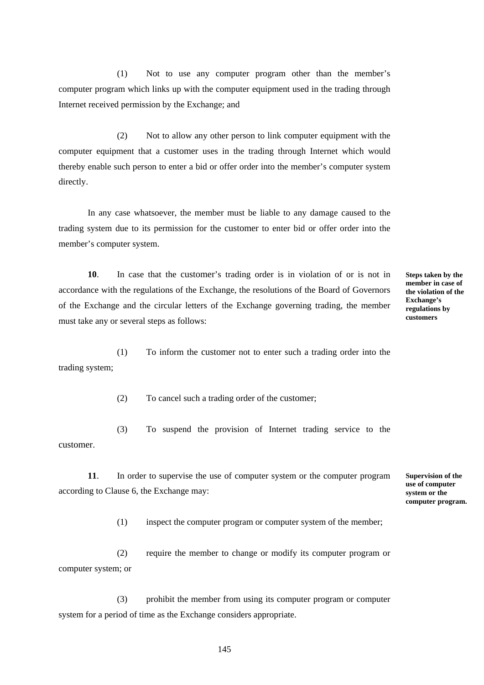(1) Not to use any computer program other than the member's computer program which links up with the computer equipment used in the trading through Internet received permission by the Exchange; and

 (2) Not to allow any other person to link computer equipment with the computer equipment that a customer uses in the trading through Internet which would thereby enable such person to enter a bid or offer order into the member's computer system directly.

 In any case whatsoever, the member must be liable to any damage caused to the trading system due to its permission for the customer to enter bid or offer order into the member's computer system.

**10**. In case that the customer's trading order is in violation of or is not in accordance with the regulations of the Exchange, the resolutions of the Board of Governors of the Exchange and the circular letters of the Exchange governing trading, the member must take any or several steps as follows:

**Steps taken by the member in case of the violation of the Exchange's regulations by customers** 

(1) To inform the customer not to enter such a trading order into the trading system;

(2) To cancel such a trading order of the customer;

(3) To suspend the provision of Internet trading service to the customer.

**11**. In order to supervise the use of computer system or the computer program according to Clause 6, the Exchange may:

**Supervision of the use of computer system or the computer program.** 

(1) inspect the computer program or computer system of the member;

 (2) require the member to change or modify its computer program or computer system; or

 (3) prohibit the member from using its computer program or computer system for a period of time as the Exchange considers appropriate.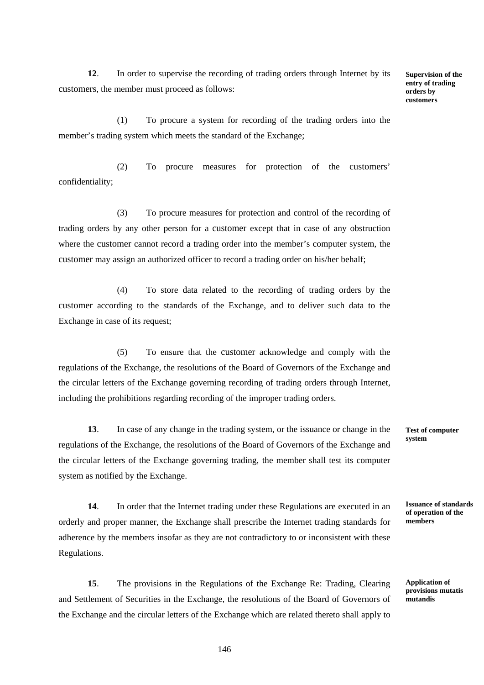**12**. In order to supervise the recording of trading orders through Internet by its customers, the member must proceed as follows:

**Supervision of the entry of trading orders by customers** 

(1) To procure a system for recording of the trading orders into the member's trading system which meets the standard of the Exchange;

(2) To procure measures for protection of the customers' confidentiality;

(3) To procure measures for protection and control of the recording of trading orders by any other person for a customer except that in case of any obstruction where the customer cannot record a trading order into the member's computer system, the customer may assign an authorized officer to record a trading order on his/her behalf;

(4) To store data related to the recording of trading orders by the customer according to the standards of the Exchange, and to deliver such data to the Exchange in case of its request;

(5) To ensure that the customer acknowledge and comply with the regulations of the Exchange, the resolutions of the Board of Governors of the Exchange and the circular letters of the Exchange governing recording of trading orders through Internet, including the prohibitions regarding recording of the improper trading orders.

**13**. In case of any change in the trading system, or the issuance or change in the regulations of the Exchange, the resolutions of the Board of Governors of the Exchange and the circular letters of the Exchange governing trading, the member shall test its computer system as notified by the Exchange.

**14**. In order that the Internet trading under these Regulations are executed in an orderly and proper manner, the Exchange shall prescribe the Internet trading standards for adherence by the members insofar as they are not contradictory to or inconsistent with these Regulations.

**15**. The provisions in the Regulations of the Exchange Re: Trading, Clearing and Settlement of Securities in the Exchange, the resolutions of the Board of Governors of the Exchange and the circular letters of the Exchange which are related thereto shall apply to

**Test of computer system** 

**Issuance of standards of operation of the members** 

**Application of provisions mutatis mutandis**